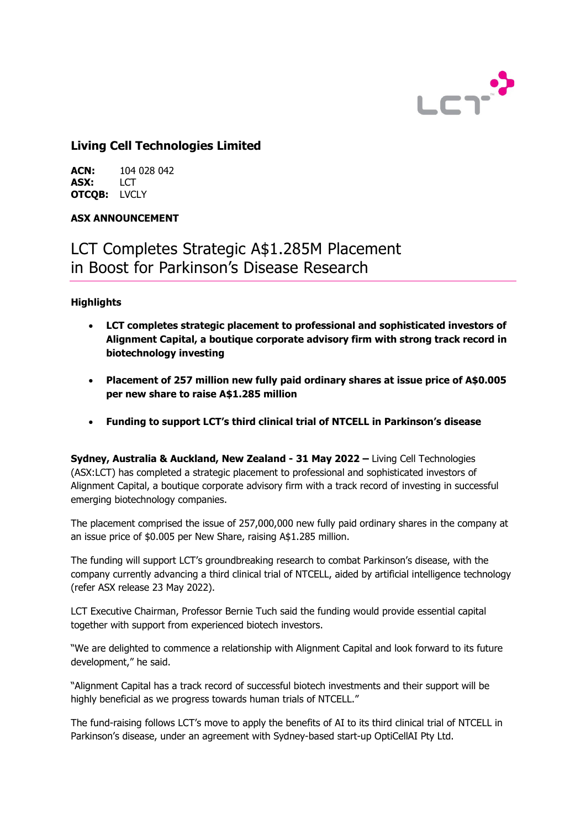

# **Living Cell Technologies Limited**

**ACN:** 104 028 042<br>**ASX:** LCT **ASX:** LCT **OTCQB:** LVCLY

# **ASX ANNOUNCEMENT**

# LCT Completes Strategic A\$1.285M Placement in Boost for Parkinson's Disease Research

# **Highlights**

- **LCT completes strategic placement to professional and sophisticated investors of Alignment Capital, a boutique corporate advisory firm with strong track record in biotechnology investing**
- **Placement of 257 million new fully paid ordinary shares at issue price of A\$0.005 per new share to raise A\$1.285 million**
- **Funding to support LCT's third clinical trial of NTCELL in Parkinson's disease**

**Sydney, Australia & Auckland, New Zealand - 31 May 2022 –** Living Cell Technologies (ASX:LCT) has completed a strategic placement to professional and sophisticated investors of Alignment Capital, a boutique corporate advisory firm with a track record of investing in successful emerging biotechnology companies.

The placement comprised the issue of 257,000,000 new fully paid ordinary shares in the company at an issue price of \$0.005 per New Share, raising A\$1.285 million.

The funding will support LCT's groundbreaking research to combat Parkinson's disease, with the company currently advancing a third clinical trial of NTCELL, aided by artificial intelligence technology (refer ASX release 23 May 2022).

LCT Executive Chairman, Professor Bernie Tuch said the funding would provide essential capital together with support from experienced biotech investors.

"We are delighted to commence a relationship with Alignment Capital and look forward to its future development," he said.

"Alignment Capital has a track record of successful biotech investments and their support will be highly beneficial as we progress towards human trials of NTCELL."

The fund-raising follows LCT's move to apply the benefits of AI to its third clinical trial of NTCELL in Parkinson's disease, under an agreement with Sydney-based start-up OptiCellAI Pty Ltd.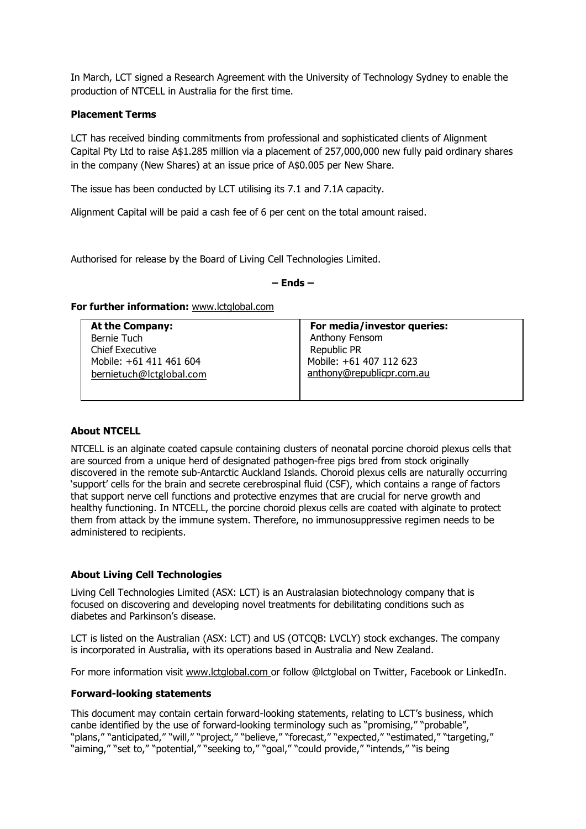In March, LCT signed a Research Agreement with the University of Technology Sydney to enable the production of NTCELL in Australia for the first time.

#### **Placement Terms**

LCT has received binding commitments from professional and sophisticated clients of Alignment Capital Pty Ltd to raise A\$1.285 million via a placement of 257,000,000 new fully paid ordinary shares in the company (New Shares) at an issue price of A\$0.005 per New Share.

The issue has been conducted by LCT utilising its 7.1 and 7.1A capacity.

Alignment Capital will be paid a cash fee of 6 per cent on the total amount raised.

Authorised for release by the Board of Living Cell Technologies Limited.

**– Ends –** 

#### **For further information: <b>[www.lctglobal.com](http://www.lctglobal.com/)**

**At the Company:** Bernie Tuch Chief Executive Mobile: +61 411 461 604 [bernie](mailto:bernietuch@lctglobal.com)[tuch@lctglobal.com](mailto:bernietuch@lctglobal.com)

**For media/investor queries:** Anthony Fensom Republic PR Mobile: +61 407 112 623 [anthony@republicpr.com.au](mailto:anthony@republicpr.com.au)

# **About NTCELL**

NTCELL is an alginate coated capsule containing clusters of neonatal porcine choroid plexus cells that are sourced from a unique herd of designated pathogen-free pigs bred from stock originally discovered in the remote sub-Antarctic Auckland Islands. Choroid plexus cells are naturally occurring 'support' cells for the brain and secrete cerebrospinal fluid (CSF), which contains a range of factors that support nerve cell functions and protective enzymes that are crucial for nerve growth and healthy functioning. In NTCELL, the porcine choroid plexus cells are coated with alginate to protect them from attack by the immune system. Therefore, no immunosuppressive regimen needs to be administered to recipients.

#### **About Living Cell Technologies**

Living Cell Technologies Limited (ASX: LCT) is an Australasian biotechnology company that is focused on discovering and developing novel treatments for debilitating conditions such as diabetes and Parkinson's disease.

LCT is listed on the Australian (ASX: LCT) and US (OTCQB: LVCLY) stock exchanges. The company is incorporated in Australia, with its operations based in Australia and New Zealand.

For more information visit [www.lctglobal.com](http://www.lctglobal.com/) or follow @lctglobal on Twitter, Facebook or LinkedIn.

#### **Forward-looking statements**

This document may contain certain forward-looking statements, relating to LCT's business, which canbe identified by the use of forward-looking terminology such as "promising," "probable", "plans," "anticipated," "will," "project," "believe," "forecast," "expected," "estimated," "targeting," "aiming." "set to." "potential." "seeking to." "goal." "could provide," "intends," "is being